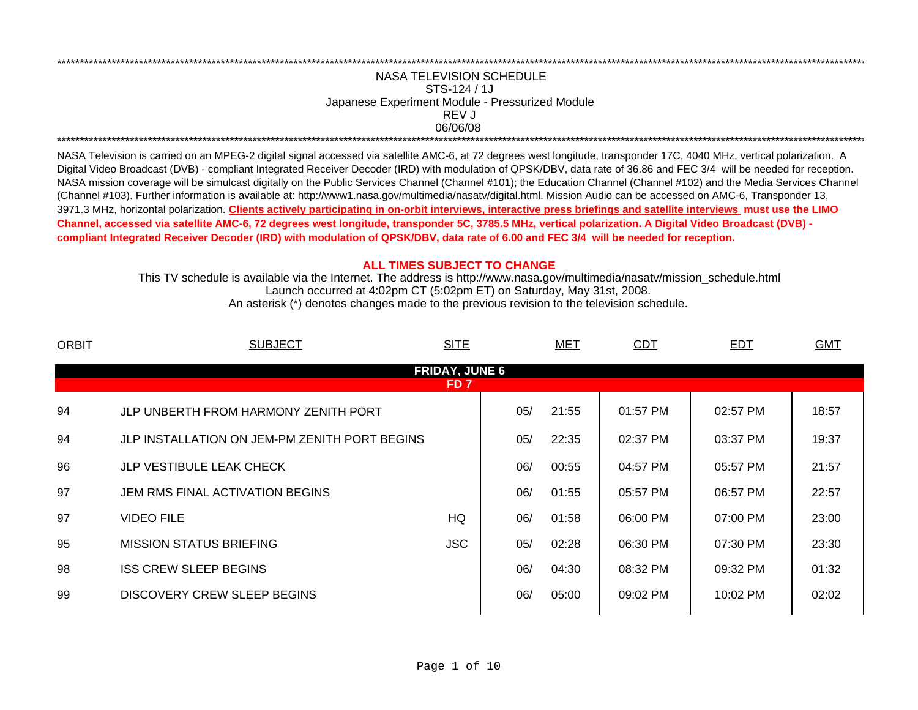## 06/06/08 \*\*\*\*\*\*\*\*\*\*\*\*\*\*\*\*\*\*\*\*\*\*\*\*\*\*\*\*\*\*\*\*\*\*\*\*\*\*\*\*\*\*\*\*\*\*\*\*\*\*\*\*\*\*\*\*\*\*\*\*\*\*\*\*\*\*\*\*\*\*\*\*\*\*\*\*\*\*\*\*\*\*\*\*\*\*\*\*\*\*\*\*\*\*\*\*\*\*\*\*\*\*\*\*\*\*\*\*\*\*\*\*\*\*\*\*\*\*\*\*\*\*\*\*\*\*\*\*\*\*\*\*\*\*\*\*\*\*\*\*\*\*\*\*\*\*\*\*\*\*\*\*\*\*\*\*\*\*\*\*\*\*\*\*\*\*\*\*\*\*\*\*\*\*\*\*\*\*REV JNASA TELEVISION SCHEDULESTS-124 / 1JJapanese Experiment Module - Pressurized Module

\*\*\*\*\*\*\*\*\*\*\*\*\*\*\*\*\*\*\*\*\*\*\*\*\*\*\*\*\*\*\*\*\*\*\*\*\*\*\*\*\*\*\*\*\*\*\*\*\*\*\*\*\*\*\*\*\*\*\*\*\*\*\*\*\*\*\*\*\*\*\*\*\*\*\*\*\*\*\*\*\*\*\*\*\*\*\*\*\*\*\*\*\*\*\*\*\*\*\*\*\*\*\*\*\*\*\*\*\*\*\*\*\*\*\*\*\*\*\*\*\*\*\*\*\*\*\*\*\*\*\*\*\*\*\*\*\*\*\*\*\*\*\*\*\*\*\*\*\*\*\*\*\*\*\*\*\*\*\*\*\*\*\*\*\*\*\*\*\*\*\*\*\*\*\*\*\*\*

NASA Television is carried on an MPEG-2 digital signal accessed via satellite AMC-6, at 72 degrees west longitude, transponder 17C, 4040 MHz, vertical polarization. A Digital Video Broadcast (DVB) - compliant Integrated Receiver Decoder (IRD) with modulation of QPSK/DBV, data rate of 36.86 and FEC 3/4 will be needed for reception. NASA mission coverage will be simulcast digitally on the Public Services Channel (Channel #101); the Education Channel (Channel #102) and the Media Services Channel (Channel #103). Further information is available at: http://www1.nasa.gov/multimedia/nasatv/digital.html. Mission Audio can be accessed on AMC-6, Transponder 13, 3971.3 MHz, horizontal polarization. **Clients actively participating in on-orbit interviews, interactive press briefings and satellite interviews must use the LIMO Channel, accessed via satellite AMC-6, 72 degrees west longitude, transponder 5C, 3785.5 MHz, vertical polarization. A Digital Video Broadcast (DVB) compliant Integrated Receiver Decoder (IRD) with modulation of QPSK/DBV, data rate of 6.00 and FEC 3/4 will be needed for reception.**

## **ALL TIMES SUBJECT TO CHANGE**

Launch occurred at 4:02pm CT (5:02pm ET) on Saturday, May 31st, 2008. This TV schedule is available via the Internet. The address is http://www.nasa.gov/multimedia/nasatv/mission\_schedule.html An asterisk (\*) denotes changes made to the previous revision to the television schedule.

| <b>ORBIT</b> | <b>SUBJECT</b>                                | <b>SITE</b>                   |     | <b>MET</b> | <b>CDT</b> | <b>EDT</b> | <b>GMT</b> |
|--------------|-----------------------------------------------|-------------------------------|-----|------------|------------|------------|------------|
|              |                                               | <b>FRIDAY, JUNE 6</b><br>FD 7 |     |            |            |            |            |
| 94           | JLP UNBERTH FROM HARMONY ZENITH PORT          |                               | 05/ | 21:55      | 01:57 PM   | 02:57 PM   | 18:57      |
| 94           | JLP INSTALLATION ON JEM-PM ZENITH PORT BEGINS |                               | 05/ | 22:35      | 02:37 PM   | 03:37 PM   | 19:37      |
| 96           | <b>JLP VESTIBULE LEAK CHECK</b>               |                               | 06/ | 00:55      | 04:57 PM   | 05:57 PM   | 21:57      |
| 97           | JEM RMS FINAL ACTIVATION BEGINS               |                               | 06/ | 01:55      | 05:57 PM   | 06:57 PM   | 22:57      |
| 97           | <b>VIDEO FILE</b>                             | HQ                            | 06/ | 01:58      | 06:00 PM   | 07:00 PM   | 23:00      |
| 95           | <b>MISSION STATUS BRIEFING</b>                | <b>JSC</b>                    | 05/ | 02:28      | 06:30 PM   | 07:30 PM   | 23:30      |
| 98           | <b>ISS CREW SLEEP BEGINS</b>                  |                               | 06/ | 04:30      | 08:32 PM   | 09:32 PM   | 01:32      |
| 99           | DISCOVERY CREW SLEEP BEGINS                   |                               | 06/ | 05:00      | 09:02 PM   | 10:02 PM   | 02:02      |
|              |                                               |                               |     |            |            |            |            |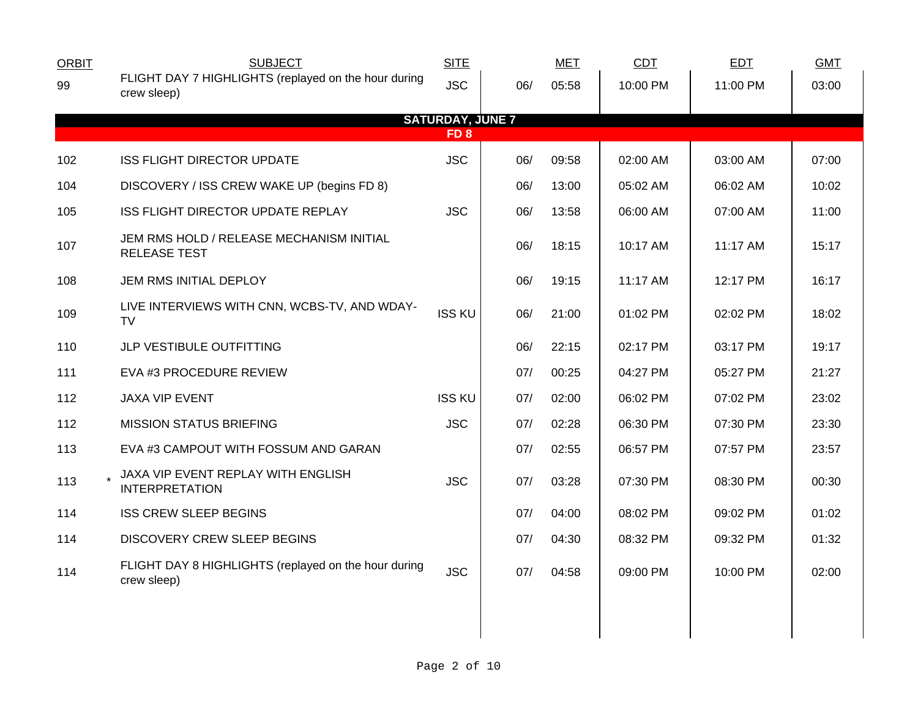| <b>ORBIT</b> | <b>SUBJECT</b>                                                      | <b>SITE</b>             |     | <b>MET</b> | CDT      | EDT      | <b>GMT</b> |  |  |  |
|--------------|---------------------------------------------------------------------|-------------------------|-----|------------|----------|----------|------------|--|--|--|
| 99           | FLIGHT DAY 7 HIGHLIGHTS (replayed on the hour during<br>crew sleep) | <b>JSC</b>              | 06/ | 05:58      | 10:00 PM | 11:00 PM | 03:00      |  |  |  |
|              |                                                                     | <b>SATURDAY, JUNE 7</b> |     |            |          |          |            |  |  |  |
|              | FD <sub>8</sub>                                                     |                         |     |            |          |          |            |  |  |  |
| 102          | ISS FLIGHT DIRECTOR UPDATE                                          | <b>JSC</b>              | 06/ | 09:58      | 02:00 AM | 03:00 AM | 07:00      |  |  |  |
| 104          | DISCOVERY / ISS CREW WAKE UP (begins FD 8)                          |                         | 06/ | 13:00      | 05:02 AM | 06:02 AM | 10:02      |  |  |  |
| 105          | ISS FLIGHT DIRECTOR UPDATE REPLAY                                   | <b>JSC</b>              | 06/ | 13:58      | 06:00 AM | 07:00 AM | 11:00      |  |  |  |
| 107          | JEM RMS HOLD / RELEASE MECHANISM INITIAL<br><b>RELEASE TEST</b>     |                         | 06/ | 18:15      | 10:17 AM | 11:17 AM | 15:17      |  |  |  |
| 108          | JEM RMS INITIAL DEPLOY                                              |                         | 06/ | 19:15      | 11:17 AM | 12:17 PM | 16:17      |  |  |  |
| 109          | LIVE INTERVIEWS WITH CNN, WCBS-TV, AND WDAY-<br><b>TV</b>           | <b>ISS KU</b>           | 06/ | 21:00      | 01:02 PM | 02:02 PM | 18:02      |  |  |  |
| 110          | JLP VESTIBULE OUTFITTING                                            |                         | 06/ | 22:15      | 02:17 PM | 03:17 PM | 19:17      |  |  |  |
| 111          | EVA #3 PROCEDURE REVIEW                                             |                         | 07/ | 00:25      | 04:27 PM | 05:27 PM | 21:27      |  |  |  |
| 112          | JAXA VIP EVENT                                                      | <b>ISS KU</b>           | 07/ | 02:00      | 06:02 PM | 07:02 PM | 23:02      |  |  |  |
| 112          | <b>MISSION STATUS BRIEFING</b>                                      | <b>JSC</b>              | 07/ | 02:28      | 06:30 PM | 07:30 PM | 23:30      |  |  |  |
| 113          | EVA #3 CAMPOUT WITH FOSSUM AND GARAN                                |                         | 07/ | 02:55      | 06:57 PM | 07:57 PM | 23:57      |  |  |  |
| 113          | JAXA VIP EVENT REPLAY WITH ENGLISH<br><b>INTERPRETATION</b>         | <b>JSC</b>              | 07/ | 03:28      | 07:30 PM | 08:30 PM | 00:30      |  |  |  |
| 114          | <b>ISS CREW SLEEP BEGINS</b>                                        |                         | 07/ | 04:00      | 08:02 PM | 09:02 PM | 01:02      |  |  |  |
| 114          | <b>DISCOVERY CREW SLEEP BEGINS</b>                                  |                         | 07/ | 04:30      | 08:32 PM | 09:32 PM | 01:32      |  |  |  |
| 114          | FLIGHT DAY 8 HIGHLIGHTS (replayed on the hour during<br>crew sleep) | <b>JSC</b>              | 07/ | 04:58      | 09:00 PM | 10:00 PM | 02:00      |  |  |  |
|              |                                                                     |                         |     |            |          |          |            |  |  |  |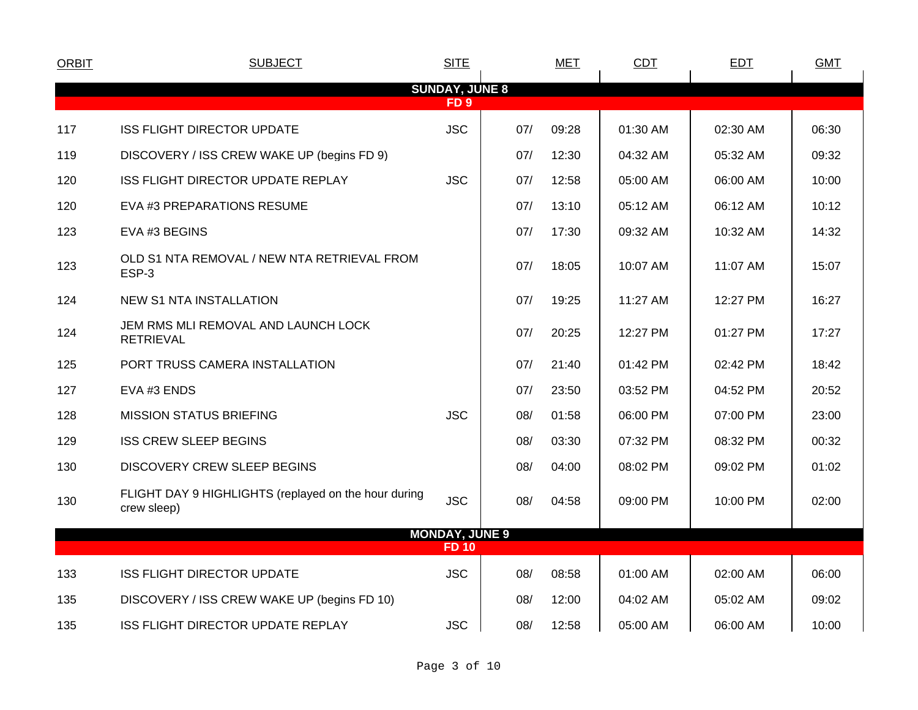| <b>ORBIT</b>    | <b>SUBJECT</b>                                                      | <b>SITE</b>           |     | <b>MET</b> | <b>CDT</b> | <b>EDT</b> | <b>GMT</b> |  |  |
|-----------------|---------------------------------------------------------------------|-----------------------|-----|------------|------------|------------|------------|--|--|
|                 |                                                                     | <b>SUNDAY, JUNE 8</b> |     |            |            |            |            |  |  |
| FD <sub>9</sub> |                                                                     |                       |     |            |            |            |            |  |  |
| 117             | <b>ISS FLIGHT DIRECTOR UPDATE</b>                                   | <b>JSC</b>            | 07/ | 09:28      | 01:30 AM   | 02:30 AM   | 06:30      |  |  |
| 119             | DISCOVERY / ISS CREW WAKE UP (begins FD 9)                          |                       | 07/ | 12:30      | 04:32 AM   | 05:32 AM   | 09:32      |  |  |
| 120             | ISS FLIGHT DIRECTOR UPDATE REPLAY                                   | <b>JSC</b>            | 07/ | 12:58      | 05:00 AM   | 06:00 AM   | 10:00      |  |  |
| 120             | EVA #3 PREPARATIONS RESUME                                          |                       | 07/ | 13:10      | 05:12 AM   | 06:12 AM   | 10:12      |  |  |
| 123             | EVA #3 BEGINS                                                       |                       | 07/ | 17:30      | 09:32 AM   | 10:32 AM   | 14:32      |  |  |
| 123             | OLD S1 NTA REMOVAL / NEW NTA RETRIEVAL FROM<br>ESP-3                |                       | 07/ | 18:05      | 10:07 AM   | 11:07 AM   | 15:07      |  |  |
| 124             | <b>NEW S1 NTA INSTALLATION</b>                                      |                       | 07/ | 19:25      | 11:27 AM   | 12:27 PM   | 16:27      |  |  |
| 124             | JEM RMS MLI REMOVAL AND LAUNCH LOCK<br><b>RETRIEVAL</b>             |                       | 07/ | 20:25      | 12:27 PM   | 01:27 PM   | 17:27      |  |  |
| 125             | PORT TRUSS CAMERA INSTALLATION                                      |                       | 07/ | 21:40      | 01:42 PM   | 02:42 PM   | 18:42      |  |  |
| 127             | EVA #3 ENDS                                                         |                       | 07/ | 23:50      | 03:52 PM   | 04:52 PM   | 20:52      |  |  |
| 128             | <b>MISSION STATUS BRIEFING</b>                                      | <b>JSC</b>            | 08/ | 01:58      | 06:00 PM   | 07:00 PM   | 23:00      |  |  |
| 129             | <b>ISS CREW SLEEP BEGINS</b>                                        |                       | 08/ | 03:30      | 07:32 PM   | 08:32 PM   | 00:32      |  |  |
| 130             | <b>DISCOVERY CREW SLEEP BEGINS</b>                                  |                       | 08/ | 04:00      | 08:02 PM   | 09:02 PM   | 01:02      |  |  |
| 130             | FLIGHT DAY 9 HIGHLIGHTS (replayed on the hour during<br>crew sleep) | <b>JSC</b>            | 08/ | 04:58      | 09:00 PM   | 10:00 PM   | 02:00      |  |  |
|                 |                                                                     | <b>MONDAY, JUNE 9</b> |     |            |            |            |            |  |  |
|                 |                                                                     | <b>FD 10</b>          |     |            |            |            |            |  |  |
| 133             | <b>ISS FLIGHT DIRECTOR UPDATE</b>                                   | <b>JSC</b>            | 08/ | 08:58      | 01:00 AM   | 02:00 AM   | 06:00      |  |  |
| 135             | DISCOVERY / ISS CREW WAKE UP (begins FD 10)                         |                       | 08/ | 12:00      | 04:02 AM   | 05:02 AM   | 09:02      |  |  |
| 135             | ISS FLIGHT DIRECTOR UPDATE REPLAY                                   | <b>JSC</b>            | 08/ | 12:58      | 05:00 AM   | 06:00 AM   | 10:00      |  |  |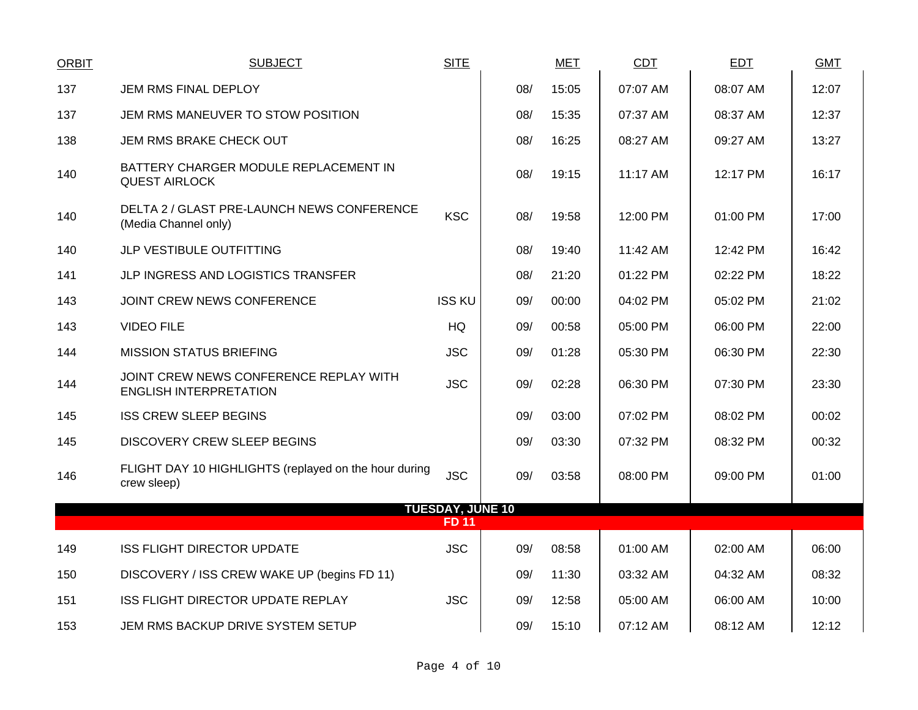| <b>ORBIT</b> | <b>SUBJECT</b>                                                          | <b>SITE</b>                             |     | <b>MET</b> | <b>CDT</b> | <b>EDT</b> | <b>GMT</b> |
|--------------|-------------------------------------------------------------------------|-----------------------------------------|-----|------------|------------|------------|------------|
| 137          | JEM RMS FINAL DEPLOY                                                    |                                         | 08/ | 15:05      | 07:07 AM   | 08:07 AM   | 12:07      |
| 137          | JEM RMS MANEUVER TO STOW POSITION                                       |                                         | 08/ | 15:35      | 07:37 AM   | 08:37 AM   | 12:37      |
| 138          | JEM RMS BRAKE CHECK OUT                                                 |                                         | 08/ | 16:25      | 08:27 AM   | 09:27 AM   | 13:27      |
| 140          | BATTERY CHARGER MODULE REPLACEMENT IN<br><b>QUEST AIRLOCK</b>           |                                         | 08/ | 19:15      | $11:17$ AM | 12:17 PM   | 16:17      |
| 140          | DELTA 2 / GLAST PRE-LAUNCH NEWS CONFERENCE<br>(Media Channel only)      | <b>KSC</b>                              | 08/ | 19:58      | 12:00 PM   | 01:00 PM   | 17:00      |
| 140          | JLP VESTIBULE OUTFITTING                                                |                                         | 08/ | 19:40      | 11:42 AM   | 12:42 PM   | 16:42      |
| 141          | JLP INGRESS AND LOGISTICS TRANSFER                                      |                                         | 08/ | 21:20      | 01:22 PM   | 02:22 PM   | 18:22      |
| 143          | JOINT CREW NEWS CONFERENCE                                              | <b>ISS KU</b>                           | 09/ | 00:00      | 04:02 PM   | 05:02 PM   | 21:02      |
| 143          | <b>VIDEO FILE</b>                                                       | HQ                                      | 09/ | 00:58      | 05:00 PM   | 06:00 PM   | 22:00      |
| 144          | <b>MISSION STATUS BRIEFING</b>                                          | <b>JSC</b>                              | 09/ | 01:28      | 05:30 PM   | 06:30 PM   | 22:30      |
| 144          | JOINT CREW NEWS CONFERENCE REPLAY WITH<br><b>ENGLISH INTERPRETATION</b> | <b>JSC</b>                              | 09/ | 02:28      | 06:30 PM   | 07:30 PM   | 23:30      |
| 145          | <b>ISS CREW SLEEP BEGINS</b>                                            |                                         | 09/ | 03:00      | 07:02 PM   | 08:02 PM   | 00:02      |
| 145          | <b>DISCOVERY CREW SLEEP BEGINS</b>                                      |                                         | 09/ | 03:30      | 07:32 PM   | 08:32 PM   | 00:32      |
| 146          | FLIGHT DAY 10 HIGHLIGHTS (replayed on the hour during<br>crew sleep)    | <b>JSC</b>                              | 09/ | 03:58      | 08:00 PM   | 09:00 PM   | 01:00      |
|              |                                                                         | <b>TUESDAY, JUNE 10</b><br><b>FD 11</b> |     |            |            |            |            |
|              |                                                                         |                                         |     |            |            |            |            |
| 149          | <b>ISS FLIGHT DIRECTOR UPDATE</b>                                       | <b>JSC</b>                              | 09/ | 08:58      | 01:00 AM   | 02:00 AM   | 06:00      |
| 150          | DISCOVERY / ISS CREW WAKE UP (begins FD 11)                             |                                         | 09/ | 11:30      | 03:32 AM   | 04:32 AM   | 08:32      |
| 151          | ISS FLIGHT DIRECTOR UPDATE REPLAY                                       | <b>JSC</b>                              | 09/ | 12:58      | 05:00 AM   | 06:00 AM   | 10:00      |
| 153          | JEM RMS BACKUP DRIVE SYSTEM SETUP                                       |                                         | 09/ | 15:10      | 07:12 AM   | 08:12 AM   | 12:12      |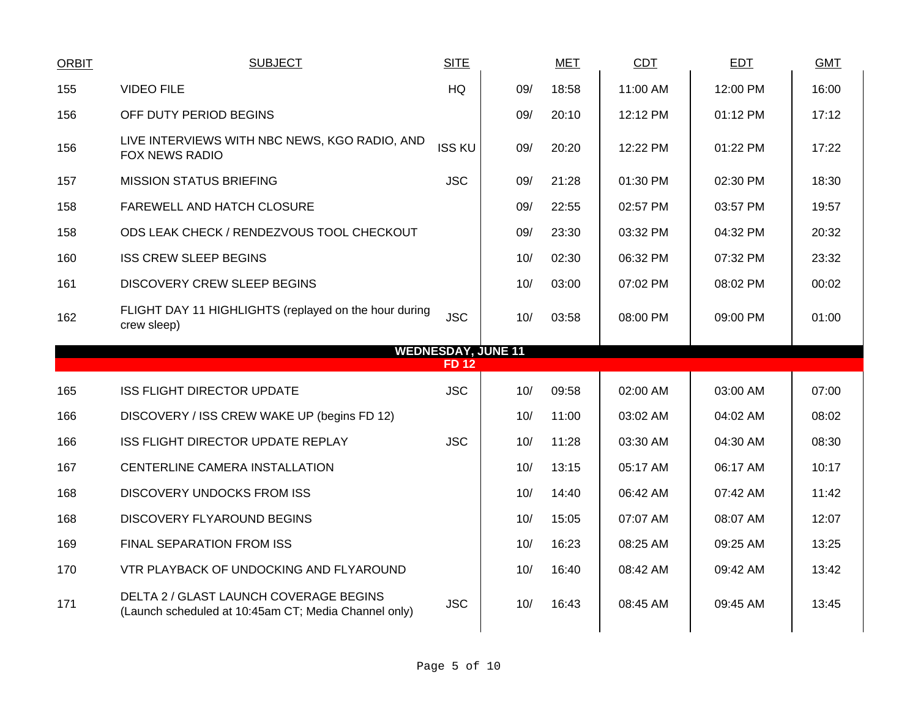| <b>ORBIT</b> | <b>SUBJECT</b>                                                         | <b>SITE</b>                               |     | <b>MET</b> | CDT      | <b>EDT</b> | <b>GMT</b> |
|--------------|------------------------------------------------------------------------|-------------------------------------------|-----|------------|----------|------------|------------|
| 155          | <b>VIDEO FILE</b>                                                      | HQ                                        | 09/ | 18:58      | 11:00 AM | 12:00 PM   | 16:00      |
| 156          | OFF DUTY PERIOD BEGINS                                                 |                                           | 09/ | 20:10      | 12:12 PM | 01:12 PM   | 17:12      |
| 156          | LIVE INTERVIEWS WITH NBC NEWS, KGO RADIO, AND<br><b>FOX NEWS RADIO</b> | <b>ISS KU</b>                             | 09/ | 20:20      | 12:22 PM | 01:22 PM   | 17:22      |
| 157          | <b>MISSION STATUS BRIEFING</b>                                         | <b>JSC</b>                                | 09/ | 21:28      | 01:30 PM | 02:30 PM   | 18:30      |
| 158          | FAREWELL AND HATCH CLOSURE                                             |                                           | 09/ | 22:55      | 02:57 PM | 03:57 PM   | 19:57      |
| 158          | ODS LEAK CHECK / RENDEZVOUS TOOL CHECKOUT                              |                                           | 09/ | 23:30      | 03:32 PM | 04:32 PM   | 20:32      |
| 160          | <b>ISS CREW SLEEP BEGINS</b>                                           |                                           | 10/ | 02:30      | 06:32 PM | 07:32 PM   | 23:32      |
| 161          | <b>DISCOVERY CREW SLEEP BEGINS</b>                                     |                                           | 10/ | 03:00      | 07:02 PM | 08:02 PM   | 00:02      |
| 162          | FLIGHT DAY 11 HIGHLIGHTS (replayed on the hour during<br>crew sleep)   | <b>JSC</b>                                | 10/ | 03:58      | 08:00 PM | 09:00 PM   | 01:00      |
|              |                                                                        | <b>WEDNESDAY, JUNE 11</b><br><b>FD 12</b> |     |            |          |            |            |
| 165          | <b>ISS FLIGHT DIRECTOR UPDATE</b>                                      | <b>JSC</b>                                | 10/ | 09:58      | 02:00 AM | 03:00 AM   | 07:00      |
| 166          | DISCOVERY / ISS CREW WAKE UP (begins FD 12)                            |                                           | 10/ | 11:00      | 03:02 AM | 04:02 AM   | 08:02      |
| 166          | ISS FLIGHT DIRECTOR UPDATE REPLAY                                      | <b>JSC</b>                                | 10/ | 11:28      | 03:30 AM | 04:30 AM   | 08:30      |
| 167          | CENTERLINE CAMERA INSTALLATION                                         |                                           | 10/ | 13:15      | 05:17 AM | 06:17 AM   | 10:17      |
| 168          | <b>DISCOVERY UNDOCKS FROM ISS</b>                                      |                                           | 10/ | 14:40      | 06:42 AM | 07:42 AM   | 11:42      |
| 168          | <b>DISCOVERY FLYAROUND BEGINS</b>                                      |                                           | 10/ | 15:05      | 07:07 AM | 08:07 AM   | 12:07      |
| 169          | <b>FINAL SEPARATION FROM ISS</b>                                       |                                           | 10/ | 16:23      | 08:25 AM | 09:25 AM   | 13:25      |
| 170          | VTR PLAYBACK OF UNDOCKING AND FLYAROUND                                |                                           | 10/ | 16:40      | 08:42 AM | 09:42 AM   | 13:42      |
|              |                                                                        |                                           |     |            |          |            |            |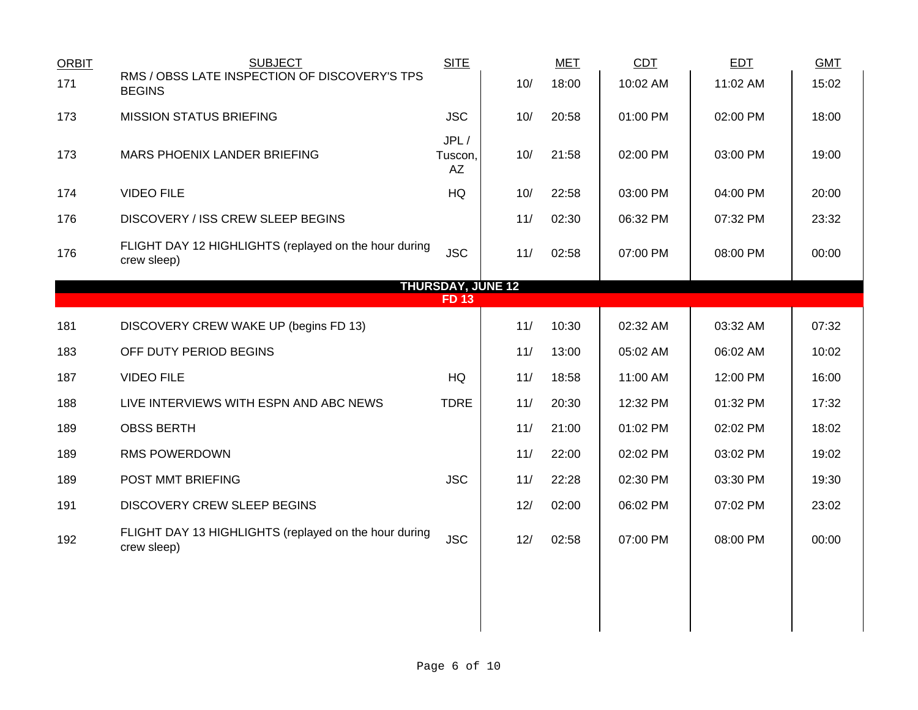| <b>ORBIT</b> | <b>SUBJECT</b>                                                       | <b>SITE</b>              |     | <b>MET</b> | <b>CDT</b> | <b>EDT</b> | <b>GMT</b> |
|--------------|----------------------------------------------------------------------|--------------------------|-----|------------|------------|------------|------------|
| 171          | RMS / OBSS LATE INSPECTION OF DISCOVERY'S TPS<br><b>BEGINS</b>       |                          | 10/ | 18:00      | 10:02 AM   | 11:02 AM   | 15:02      |
| 173          | <b>MISSION STATUS BRIEFING</b>                                       | <b>JSC</b>               | 10/ | 20:58      | 01:00 PM   | 02:00 PM   | 18:00      |
| 173          | MARS PHOENIX LANDER BRIEFING                                         | JPL/<br>Tuscon,<br>AZ    | 10/ | 21:58      | 02:00 PM   | 03:00 PM   | 19:00      |
| 174          | <b>VIDEO FILE</b>                                                    | HQ                       | 10/ | 22:58      | 03:00 PM   | 04:00 PM   | 20:00      |
| 176          | DISCOVERY / ISS CREW SLEEP BEGINS                                    |                          | 11/ | 02:30      | 06:32 PM   | 07:32 PM   | 23:32      |
| 176          | FLIGHT DAY 12 HIGHLIGHTS (replayed on the hour during<br>crew sleep) | <b>JSC</b>               | 11/ | 02:58      | 07:00 PM   | 08:00 PM   | 00:00      |
|              |                                                                      | <b>THURSDAY, JUNE 12</b> |     |            |            |            |            |
|              |                                                                      | <b>FD13</b>              |     |            |            |            |            |
| 181          | DISCOVERY CREW WAKE UP (begins FD 13)                                |                          | 11/ | 10:30      | 02:32 AM   | 03:32 AM   | 07:32      |
| 183          | OFF DUTY PERIOD BEGINS                                               |                          | 11/ | 13:00      | 05:02 AM   | 06:02 AM   | 10:02      |
| 187          | <b>VIDEO FILE</b>                                                    | <b>HQ</b>                | 11/ | 18:58      | 11:00 AM   | 12:00 PM   | 16:00      |
| 188          | LIVE INTERVIEWS WITH ESPN AND ABC NEWS                               | <b>TDRE</b>              | 11/ | 20:30      | 12:32 PM   | 01:32 PM   | 17:32      |
| 189          | <b>OBSS BERTH</b>                                                    |                          | 11/ | 21:00      | 01:02 PM   | 02:02 PM   | 18:02      |
| 189          | <b>RMS POWERDOWN</b>                                                 |                          | 11/ | 22:00      | 02:02 PM   | 03:02 PM   | 19:02      |
| 189          | POST MMT BRIEFING                                                    | <b>JSC</b>               | 11/ | 22:28      | 02:30 PM   | 03:30 PM   | 19:30      |
| 191          | <b>DISCOVERY CREW SLEEP BEGINS</b>                                   |                          | 12/ | 02:00      | 06:02 PM   | 07:02 PM   | 23:02      |
| 192          | FLIGHT DAY 13 HIGHLIGHTS (replayed on the hour during<br>crew sleep) | <b>JSC</b>               | 12/ | 02:58      | 07:00 PM   | 08:00 PM   | 00:00      |
|              |                                                                      |                          |     |            |            |            |            |
|              |                                                                      |                          |     |            |            |            |            |
|              |                                                                      |                          |     |            |            |            |            |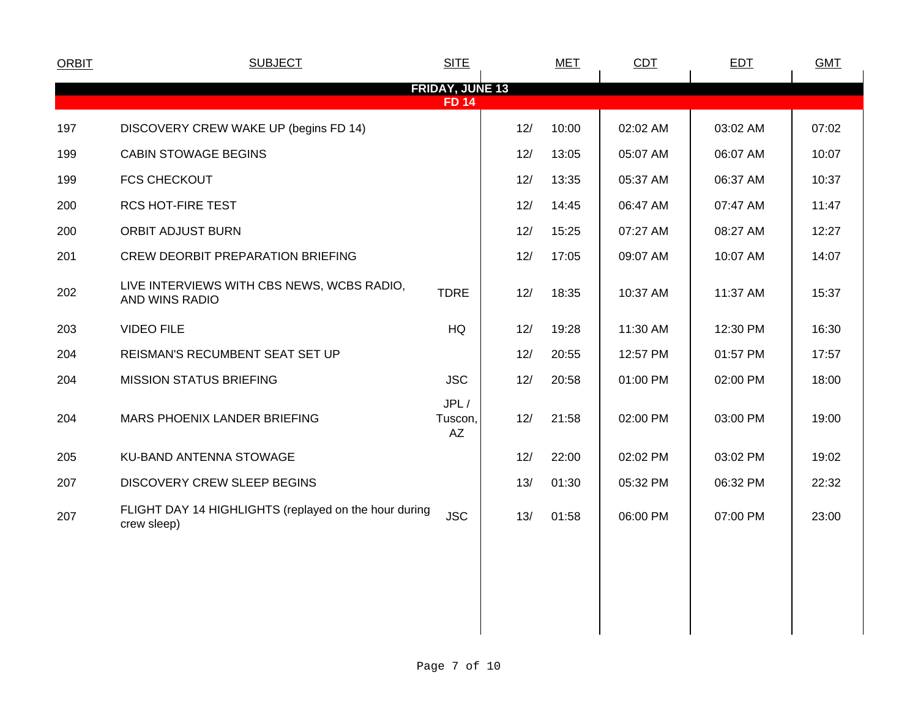| <b>SUBJECT</b>                                                       | <b>SITE</b>           |     | <b>MET</b>             | CDT      | <b>EDT</b> | <b>GMT</b> |
|----------------------------------------------------------------------|-----------------------|-----|------------------------|----------|------------|------------|
|                                                                      | <b>FD 14</b>          |     |                        |          |            |            |
| DISCOVERY CREW WAKE UP (begins FD 14)                                |                       | 12/ | 10:00                  | 02:02 AM | 03:02 AM   | 07:02      |
| <b>CABIN STOWAGE BEGINS</b>                                          |                       | 12/ | 13:05                  | 05:07 AM | 06:07 AM   | 10:07      |
| <b>FCS CHECKOUT</b>                                                  |                       | 12/ | 13:35                  | 05:37 AM | 06:37 AM   | 10:37      |
| RCS HOT-FIRE TEST                                                    |                       | 12/ | 14:45                  | 06:47 AM | 07:47 AM   | 11:47      |
| <b>ORBIT ADJUST BURN</b>                                             |                       | 12/ | 15:25                  | 07:27 AM | 08:27 AM   | 12:27      |
| CREW DEORBIT PREPARATION BRIEFING                                    |                       | 12/ | 17:05                  | 09:07 AM | 10:07 AM   | 14:07      |
| LIVE INTERVIEWS WITH CBS NEWS, WCBS RADIO,<br>AND WINS RADIO         | <b>TDRE</b>           | 12/ | 18:35                  | 10:37 AM | 11:37 AM   | 15:37      |
| <b>VIDEO FILE</b>                                                    | HQ                    | 12/ | 19:28                  | 11:30 AM | 12:30 PM   | 16:30      |
| REISMAN'S RECUMBENT SEAT SET UP                                      |                       | 12/ | 20:55                  | 12:57 PM | 01:57 PM   | 17:57      |
| <b>MISSION STATUS BRIEFING</b>                                       | <b>JSC</b>            | 12/ | 20:58                  | 01:00 PM | 02:00 PM   | 18:00      |
| MARS PHOENIX LANDER BRIEFING                                         | JPL/<br>Tuscon,<br>AZ | 12/ | 21:58                  | 02:00 PM | 03:00 PM   | 19:00      |
| KU-BAND ANTENNA STOWAGE                                              |                       | 12/ | 22:00                  | 02:02 PM | 03:02 PM   | 19:02      |
| DISCOVERY CREW SLEEP BEGINS                                          |                       | 13/ | 01:30                  | 05:32 PM | 06:32 PM   | 22:32      |
| FLIGHT DAY 14 HIGHLIGHTS (replayed on the hour during<br>crew sleep) | <b>JSC</b>            | 13/ | 01:58                  | 06:00 PM | 07:00 PM   | 23:00      |
|                                                                      |                       |     |                        |          |            |            |
|                                                                      |                       |     |                        |          |            |            |
|                                                                      |                       |     |                        |          |            |            |
|                                                                      |                       |     | <b>FRIDAY, JUNE 13</b> |          |            |            |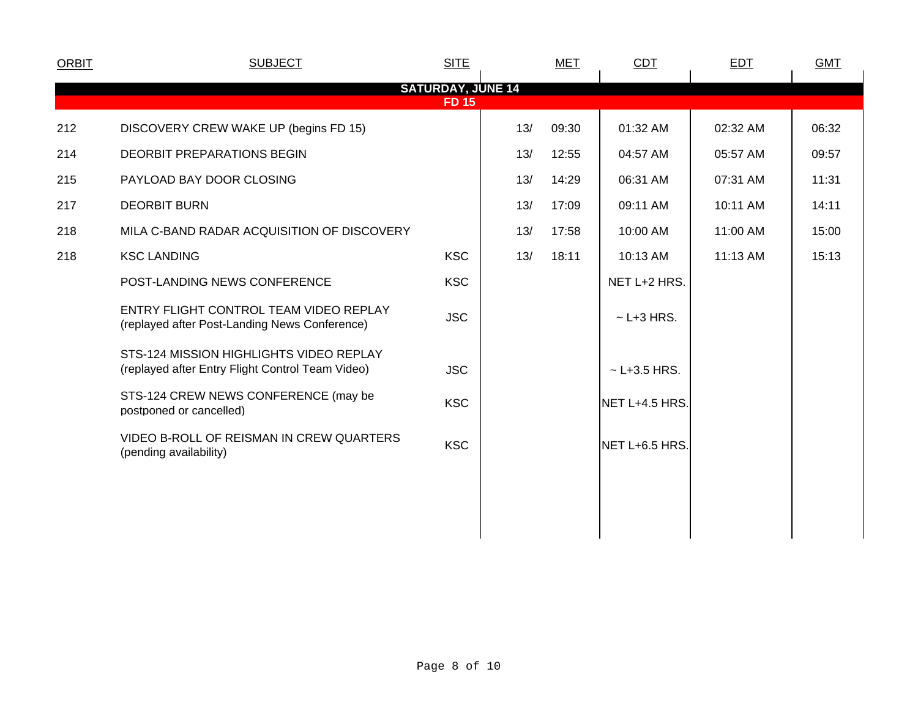| <b>ORBIT</b> | <b>SUBJECT</b>                                                                              | <b>SITE</b>                              |     | <b>MET</b> | <b>CDT</b>       | <b>EDT</b> | <b>GMT</b> |  |
|--------------|---------------------------------------------------------------------------------------------|------------------------------------------|-----|------------|------------------|------------|------------|--|
|              |                                                                                             | <b>SATURDAY, JUNE 14</b><br><b>FD 15</b> |     |            |                  |            |            |  |
| 212          | DISCOVERY CREW WAKE UP (begins FD 15)                                                       |                                          | 13/ | 09:30      | 01:32 AM         | 02:32 AM   | 06:32      |  |
| 214          | <b>DEORBIT PREPARATIONS BEGIN</b>                                                           |                                          | 13/ | 12:55      | 04:57 AM         | 05:57 AM   | 09:57      |  |
| 215          | PAYLOAD BAY DOOR CLOSING                                                                    |                                          | 13/ | 14:29      | 06:31 AM         | 07:31 AM   | 11:31      |  |
| 217          | <b>DEORBIT BURN</b>                                                                         |                                          | 13/ | 17:09      | 09:11 AM         | 10:11 AM   | 14:11      |  |
| 218          | MILA C-BAND RADAR ACQUISITION OF DISCOVERY                                                  |                                          | 13/ | 17:58      | 10:00 AM         | 11:00 AM   | 15:00      |  |
| 218          | <b>KSC LANDING</b>                                                                          | <b>KSC</b>                               | 13/ | 18:11      | 10:13 AM         | 11:13 AM   | 15:13      |  |
|              | POST-LANDING NEWS CONFERENCE                                                                | <b>KSC</b>                               |     |            | NET L+2 HRS.     |            |            |  |
|              | ENTRY FLIGHT CONTROL TEAM VIDEO REPLAY<br>(replayed after Post-Landing News Conference)     | <b>JSC</b>                               |     |            | $\sim$ L+3 HRS.  |            |            |  |
|              | STS-124 MISSION HIGHLIGHTS VIDEO REPLAY<br>(replayed after Entry Flight Control Team Video) | <b>JSC</b>                               |     |            | $~$ - L+3.5 HRS. |            |            |  |
|              | STS-124 CREW NEWS CONFERENCE (may be<br>postponed or cancelled)                             | <b>KSC</b>                               |     |            | NET L+4.5 HRS.   |            |            |  |
|              | VIDEO B-ROLL OF REISMAN IN CREW QUARTERS<br>(pending availability)                          | <b>KSC</b>                               |     |            | NET L+6.5 HRS.   |            |            |  |
|              |                                                                                             |                                          |     |            |                  |            |            |  |
|              |                                                                                             |                                          |     |            |                  |            |            |  |
|              |                                                                                             |                                          |     |            |                  |            |            |  |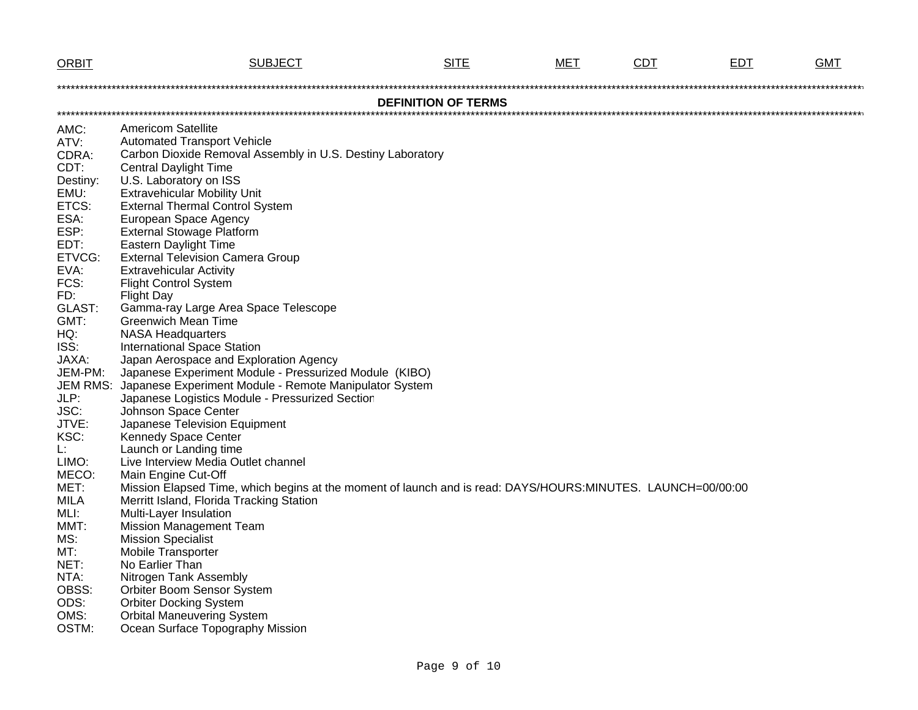| <b>ORBIT</b>                                                                                                                                                                                                                                                                                                                       | <b>SUBJECT</b>                                                                                                                                                                                                                                                                                                                                                                                                                                                                                                                                                                                                                                                                                                                                                                                                                                                                                                                                                                                                                                                                                                                                                                                                                                                                                                                                                                                 | <b>SITE</b>                | мет | <b>CDT</b> | EDT | GMT |
|------------------------------------------------------------------------------------------------------------------------------------------------------------------------------------------------------------------------------------------------------------------------------------------------------------------------------------|------------------------------------------------------------------------------------------------------------------------------------------------------------------------------------------------------------------------------------------------------------------------------------------------------------------------------------------------------------------------------------------------------------------------------------------------------------------------------------------------------------------------------------------------------------------------------------------------------------------------------------------------------------------------------------------------------------------------------------------------------------------------------------------------------------------------------------------------------------------------------------------------------------------------------------------------------------------------------------------------------------------------------------------------------------------------------------------------------------------------------------------------------------------------------------------------------------------------------------------------------------------------------------------------------------------------------------------------------------------------------------------------|----------------------------|-----|------------|-----|-----|
|                                                                                                                                                                                                                                                                                                                                    |                                                                                                                                                                                                                                                                                                                                                                                                                                                                                                                                                                                                                                                                                                                                                                                                                                                                                                                                                                                                                                                                                                                                                                                                                                                                                                                                                                                                |                            |     |            |     |     |
|                                                                                                                                                                                                                                                                                                                                    |                                                                                                                                                                                                                                                                                                                                                                                                                                                                                                                                                                                                                                                                                                                                                                                                                                                                                                                                                                                                                                                                                                                                                                                                                                                                                                                                                                                                | <b>DEFINITION OF TERMS</b> |     |            |     |     |
| AMC:<br>ATV:<br>CDRA:<br>CDT:<br>Destiny:<br>EMU:<br>ETCS:<br>ESA:<br>ESP:<br>EDT:<br>ETVCG:<br>EVA:<br>FCS:<br>FD:<br>GLAST:<br>GMT:<br>HQ:<br>ISS:<br>JAXA:<br>JEM-PM:<br><b>JEM RMS:</b><br>JLP:<br>JSC:<br>JTVE:<br>KSC:<br>Ŀ.<br>LIMO:<br>MECO:<br>MET:<br><b>MILA</b><br>MLI:<br>MMT:<br>MS:<br>MT:<br>NET:<br>NTA:<br>OBSS: | <b>Americom Satellite</b><br><b>Automated Transport Vehicle</b><br>Carbon Dioxide Removal Assembly in U.S. Destiny Laboratory<br><b>Central Daylight Time</b><br>U.S. Laboratory on ISS<br><b>Extravehicular Mobility Unit</b><br><b>External Thermal Control System</b><br>European Space Agency<br><b>External Stowage Platform</b><br><b>Eastern Daylight Time</b><br><b>External Television Camera Group</b><br><b>Extravehicular Activity</b><br><b>Flight Control System</b><br><b>Flight Day</b><br>Gamma-ray Large Area Space Telescope<br><b>Greenwich Mean Time</b><br><b>NASA Headquarters</b><br><b>International Space Station</b><br>Japan Aerospace and Exploration Agency<br>Japanese Experiment Module - Pressurized Module (KIBO)<br>Japanese Experiment Module - Remote Manipulator System<br>Japanese Logistics Module - Pressurized Section<br>Johnson Space Center<br>Japanese Television Equipment<br>Kennedy Space Center<br>Launch or Landing time<br>Live Interview Media Outlet channel<br>Main Engine Cut-Off<br>Mission Elapsed Time, which begins at the moment of launch and is read: DAYS/HOURS:MINUTES. LAUNCH=00/00:00<br>Merritt Island, Florida Tracking Station<br>Multi-Layer Insulation<br><b>Mission Management Team</b><br><b>Mission Specialist</b><br>Mobile Transporter<br>No Earlier Than<br>Nitrogen Tank Assembly<br>Orbiter Boom Sensor System |                            |     |            |     |     |
| ODS:                                                                                                                                                                                                                                                                                                                               | <b>Orbiter Docking System</b>                                                                                                                                                                                                                                                                                                                                                                                                                                                                                                                                                                                                                                                                                                                                                                                                                                                                                                                                                                                                                                                                                                                                                                                                                                                                                                                                                                  |                            |     |            |     |     |
| OMS:                                                                                                                                                                                                                                                                                                                               | <b>Orbital Maneuvering System</b>                                                                                                                                                                                                                                                                                                                                                                                                                                                                                                                                                                                                                                                                                                                                                                                                                                                                                                                                                                                                                                                                                                                                                                                                                                                                                                                                                              |                            |     |            |     |     |
| OSTM:                                                                                                                                                                                                                                                                                                                              | Ocean Surface Topography Mission                                                                                                                                                                                                                                                                                                                                                                                                                                                                                                                                                                                                                                                                                                                                                                                                                                                                                                                                                                                                                                                                                                                                                                                                                                                                                                                                                               |                            |     |            |     |     |